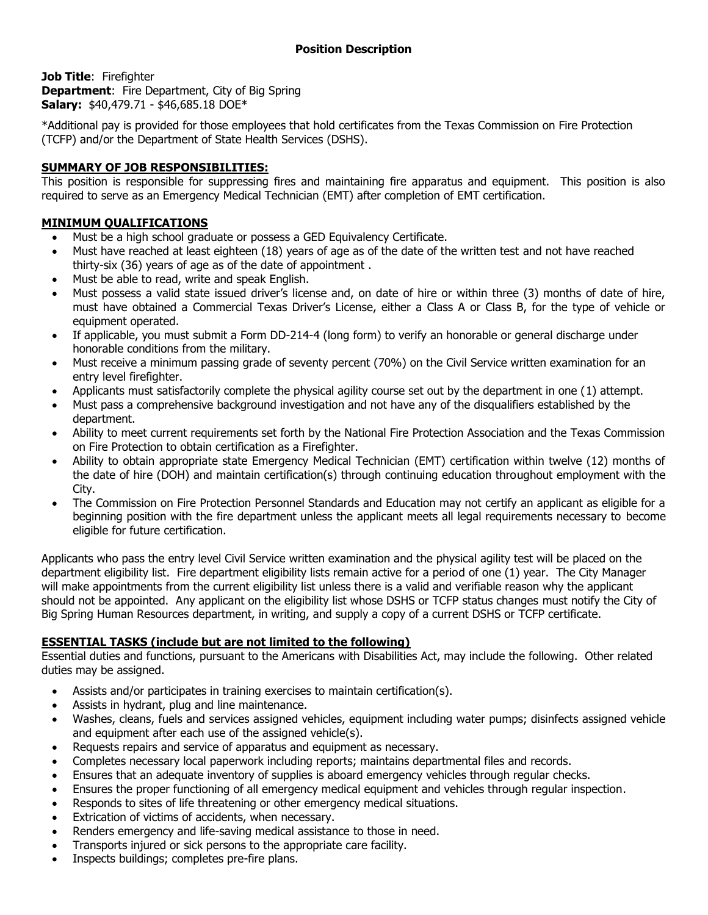**Job Title**: Firefighter **Department:** Fire Department, City of Big Spring **Salary:** \$40,479.71 - \$46,685.18 DOE\*

\*Additional pay is provided for those employees that hold certificates from the Texas Commission on Fire Protection (TCFP) and/or the Department of State Health Services (DSHS).

# **SUMMARY OF JOB RESPONSIBILITIES:**

This position is responsible for suppressing fires and maintaining fire apparatus and equipment. This position is also required to serve as an Emergency Medical Technician (EMT) after completion of EMT certification.

# **MINIMUM QUALIFICATIONS**

- Must be a high school graduate or possess a GED Equivalency Certificate.
- Must have reached at least eighteen (18) years of age as of the date of the written test and not have reached thirty-six (36) years of age as of the date of appointment .
- Must be able to read, write and speak English.
- Must possess a valid state issued driver's license and, on date of hire or within three (3) months of date of hire, must have obtained a Commercial Texas Driver's License, either a Class A or Class B, for the type of vehicle or equipment operated.
- If applicable, you must submit a Form DD-214-4 (long form) to verify an honorable or general discharge under honorable conditions from the military.
- Must receive a minimum passing grade of seventy percent (70%) on the Civil Service written examination for an entry level firefighter.
- Applicants must satisfactorily complete the physical agility course set out by the department in one (1) attempt.
- Must pass a comprehensive background investigation and not have any of the disqualifiers established by the department.
- Ability to meet current requirements set forth by the National Fire Protection Association and the Texas Commission on Fire Protection to obtain certification as a Firefighter.
- Ability to obtain appropriate state Emergency Medical Technician (EMT) certification within twelve (12) months of the date of hire (DOH) and maintain certification(s) through continuing education throughout employment with the City.
- The Commission on Fire Protection Personnel Standards and Education may not certify an applicant as eligible for a beginning position with the fire department unless the applicant meets all legal requirements necessary to become eligible for future certification.

Applicants who pass the entry level Civil Service written examination and the physical agility test will be placed on the department eligibility list. Fire department eligibility lists remain active for a period of one (1) year. The City Manager will make appointments from the current eligibility list unless there is a valid and verifiable reason why the applicant should not be appointed. Any applicant on the eligibility list whose DSHS or TCFP status changes must notify the City of Big Spring Human Resources department, in writing, and supply a copy of a current DSHS or TCFP certificate.

## **ESSENTIAL TASKS (include but are not limited to the following)**

Essential duties and functions, pursuant to the Americans with Disabilities Act, may include the following. Other related duties may be assigned.

- Assists and/or participates in training exercises to maintain certification(s).
- Assists in hydrant, plug and line maintenance.
- Washes, cleans, fuels and services assigned vehicles, equipment including water pumps; disinfects assigned vehicle and equipment after each use of the assigned vehicle(s).
- Requests repairs and service of apparatus and equipment as necessary.
- Completes necessary local paperwork including reports; maintains departmental files and records.
- Ensures that an adequate inventory of supplies is aboard emergency vehicles through regular checks.
- Ensures the proper functioning of all emergency medical equipment and vehicles through regular inspection.
- Responds to sites of life threatening or other emergency medical situations.
- Extrication of victims of accidents, when necessary.
- Renders emergency and life-saving medical assistance to those in need.
- Transports injured or sick persons to the appropriate care facility.
- Inspects buildings; completes pre-fire plans.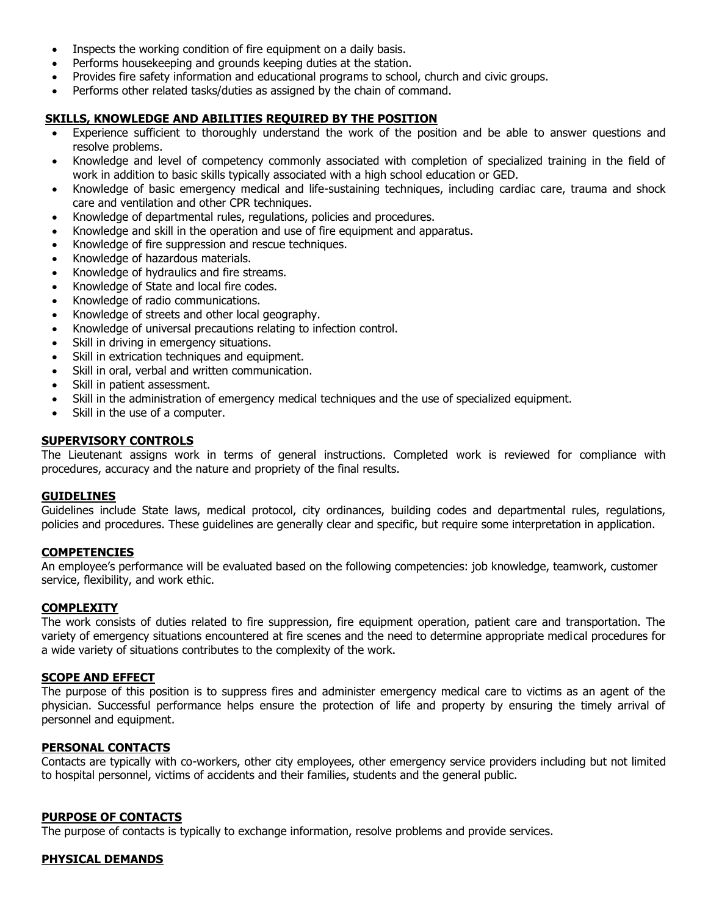- Inspects the working condition of fire equipment on a daily basis.
- Performs housekeeping and grounds keeping duties at the station.
- Provides fire safety information and educational programs to school, church and civic groups.
- Performs other related tasks/duties as assigned by the chain of command.

## **SKILLS, KNOWLEDGE AND ABILITIES REQUIRED BY THE POSITION**

- Experience sufficient to thoroughly understand the work of the position and be able to answer questions and resolve problems.
- Knowledge and level of competency commonly associated with completion of specialized training in the field of work in addition to basic skills typically associated with a high school education or GED.
- Knowledge of basic emergency medical and life-sustaining techniques, including cardiac care, trauma and shock care and ventilation and other CPR techniques.
- Knowledge of departmental rules, regulations, policies and procedures.
- Knowledge and skill in the operation and use of fire equipment and apparatus.
- Knowledge of fire suppression and rescue techniques.
- Knowledge of hazardous materials.
- Knowledge of hydraulics and fire streams.
- Knowledge of State and local fire codes.
- Knowledge of radio communications.
- Knowledge of streets and other local geography.
- Knowledge of universal precautions relating to infection control.
- Skill in driving in emergency situations.
- Skill in extrication techniques and equipment.
- Skill in oral, verbal and written communication.
- Skill in patient assessment.
- Skill in the administration of emergency medical techniques and the use of specialized equipment.
- Skill in the use of a computer.

#### **SUPERVISORY CONTROLS**

The Lieutenant assigns work in terms of general instructions. Completed work is reviewed for compliance with procedures, accuracy and the nature and propriety of the final results.

#### **GUIDELINES**

Guidelines include State laws, medical protocol, city ordinances, building codes and departmental rules, regulations, policies and procedures. These guidelines are generally clear and specific, but require some interpretation in application.

#### **COMPETENCIES**

An employee's performance will be evaluated based on the following competencies: job knowledge, teamwork, customer service, flexibility, and work ethic.

#### **COMPLEXITY**

The work consists of duties related to fire suppression, fire equipment operation, patient care and transportation. The variety of emergency situations encountered at fire scenes and the need to determine appropriate medical procedures for a wide variety of situations contributes to the complexity of the work.

### **SCOPE AND EFFECT**

The purpose of this position is to suppress fires and administer emergency medical care to victims as an agent of the physician. Successful performance helps ensure the protection of life and property by ensuring the timely arrival of personnel and equipment.

## **PERSONAL CONTACTS**

Contacts are typically with co-workers, other city employees, other emergency service providers including but not limited to hospital personnel, victims of accidents and their families, students and the general public.

#### **PURPOSE OF CONTACTS**

The purpose of contacts is typically to exchange information, resolve problems and provide services.

#### **PHYSICAL DEMANDS**